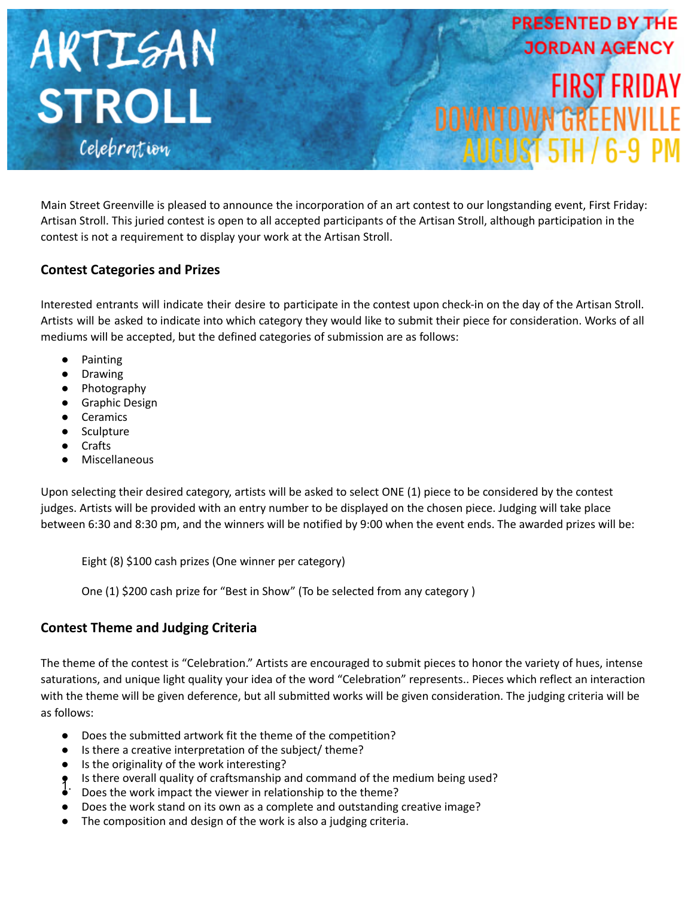

Main Street Greenville is pleased to announce the incorporation of an art contest to our longstanding event, First Friday: Artisan Stroll. This juried contest is open to all accepted participants of the Artisan Stroll, although participation in the contest is not a requirement to display your work at the Artisan Stroll.

## **Contest Categories and Prizes**

Interested entrants will indicate their desire to participate in the contest upon check-in on the day of the Artisan Stroll. Artists will be asked to indicate into which category they would like to submit their piece for consideration. Works of all mediums will be accepted, but the defined categories of submission are as follows:

- **Painting**
- **Drawing**
- Photography
- Graphic Design
- Ceramics
- Sculpture
- **Crafts**
- **Miscellaneous**

Upon selecting their desired category, artists will be asked to select ONE (1) piece to be considered by the contest judges. Artists will be provided with an entry number to be displayed on the chosen piece. Judging will take place between 6:30 and 8:30 pm, and the winners will be notified by 9:00 when the event ends. The awarded prizes will be:

Eight (8) \$100 cash prizes (One winner per category)

One (1) \$200 cash prize for "Best in Show" (To be selected from any category )

# **Contest Theme and Judging Criteria**

The theme of the contest is "Celebration." Artists are encouraged to submit pieces to honor the variety of hues, intense saturations, and unique light quality your idea of the word "Celebration" represents.. Pieces which reflect an interaction with the theme will be given deference, but all submitted works will be given consideration. The judging criteria will be as follows:

- Does the submitted artwork fit the theme of the competition?
- Is there a creative interpretation of the subject/ theme?
- Is the originality of the work interesting?
- Is there overall quality of craftsmanship and command of the medium being used?
- 1. Better overching the viewer in relationship to the theme?
- Does the work stand on its own as a complete and outstanding creative image?
- The composition and design of the work is also a judging criteria.